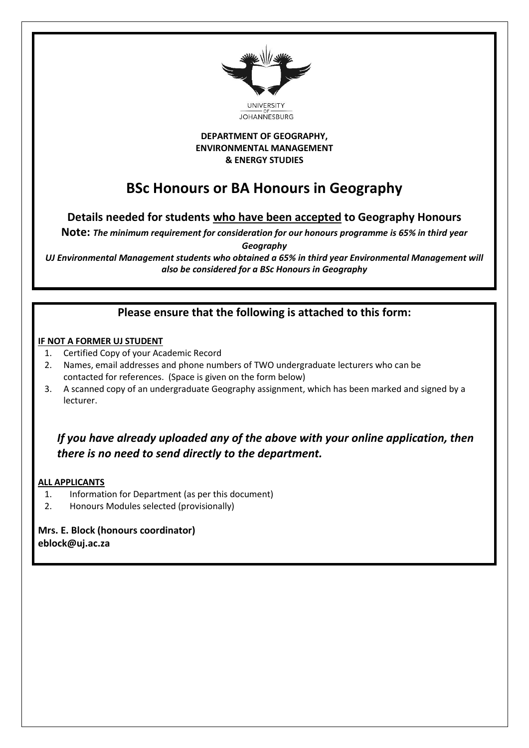

**DEPARTMENT OF GEOGRAPHY, ENVIRONMENTAL MANAGEMENT & ENERGY STUDIES**

# **BSc Honours or BA Honours in Geography**

**Details needed for students who have been accepted to Geography Honours**

**Note:** *The minimum requirement for consideration for our honours programme is 65% in third year Geography*

*UJ Environmental Management students who obtained a 65% in third year Environmental Management will also be considered for a BSc Honours in Geography*

# **Please ensure that the following is attached to this form:**

#### **IF NOT A FORMER UJ STUDENT**

- 1. Certified Copy of your Academic Record
- 2. Names, email addresses and phone numbers of TWO undergraduate lecturers who can be contacted for references. (Space is given on the form below)
- 3. A scanned copy of an undergraduate Geography assignment, which has been marked and signed by a lecturer.

# *If you have already uploaded any of the above with your online application, then there is no need to send directly to the department.*

#### **ALL APPLICANTS**

- 1. Information for Department (as per this document)
- 2. Honours Modules selected (provisionally)

**Mrs. E. Block (honours coordinator) eblock@uj.ac.za**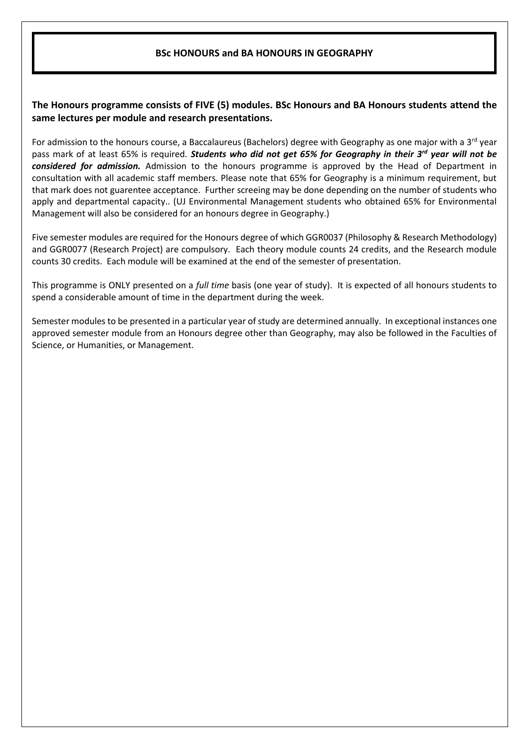#### **BSc HONOURS and BA HONOURS IN GEOGRAPHY**

### **The Honours programme consists of FIVE (5) modules. BSc Honours and BA Honours students attend the same lectures per module and research presentations.**

For admission to the honours course, a Baccalaureus (Bachelors) degree with Geography as one major with a 3<sup>rd</sup> year pass mark of at least 65% is required. *Students who did not get 65% for Geography in their 3rd year will not be considered for admission.* Admission to the honours programme is approved by the Head of Department in consultation with all academic staff members. Please note that 65% for Geography is a minimum requirement, but that mark does not guarentee acceptance. Further screeing may be done depending on the number of students who apply and departmental capacity.. (UJ Environmental Management students who obtained 65% for Environmental Management will also be considered for an honours degree in Geography.)

Five semester modules are required for the Honours degree of which GGR0037 (Philosophy & Research Methodology) and GGR0077 (Research Project) are compulsory. Each theory module counts 24 credits, and the Research module counts 30 credits. Each module will be examined at the end of the semester of presentation.

This programme is ONLY presented on a *full time* basis (one year of study). It is expected of all honours students to spend a considerable amount of time in the department during the week.

Semester modules to be presented in a particular year of study are determined annually. In exceptional instances one approved semester module from an Honours degree other than Geography, may also be followed in the Faculties of Science, or Humanities, or Management.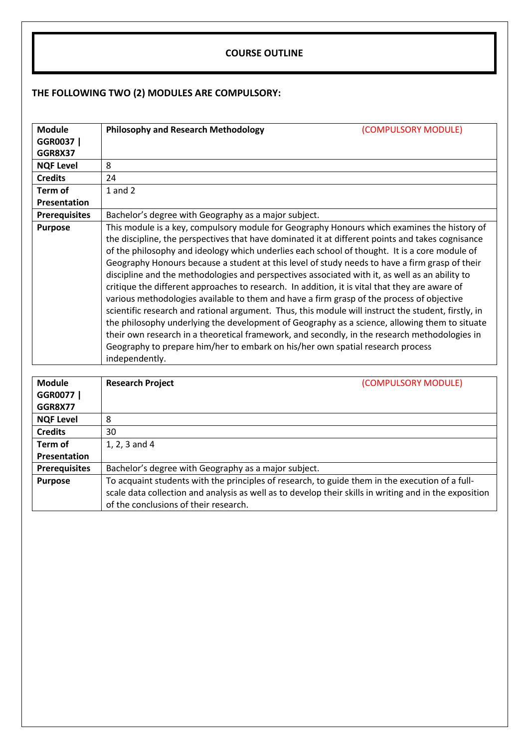#### **COURSE OUTLINE**

## **THE FOLLOWING TWO (2) MODULES ARE COMPULSORY:**

| <b>Module</b><br>GGR0037  <br><b>GGR8X37</b> | <b>Philosophy and Research Methodology</b><br>(COMPULSORY MODULE)                                                                                                                                                                                                                                                                                                                                                                                                                                                                                                                                                                                                                                                                                                                                                                                                                                                                                                                                                                                                                                                |  |
|----------------------------------------------|------------------------------------------------------------------------------------------------------------------------------------------------------------------------------------------------------------------------------------------------------------------------------------------------------------------------------------------------------------------------------------------------------------------------------------------------------------------------------------------------------------------------------------------------------------------------------------------------------------------------------------------------------------------------------------------------------------------------------------------------------------------------------------------------------------------------------------------------------------------------------------------------------------------------------------------------------------------------------------------------------------------------------------------------------------------------------------------------------------------|--|
| <b>NQF Level</b>                             | 8                                                                                                                                                                                                                                                                                                                                                                                                                                                                                                                                                                                                                                                                                                                                                                                                                                                                                                                                                                                                                                                                                                                |  |
| <b>Credits</b>                               | 24                                                                                                                                                                                                                                                                                                                                                                                                                                                                                                                                                                                                                                                                                                                                                                                                                                                                                                                                                                                                                                                                                                               |  |
| Term of                                      | $1$ and $2$                                                                                                                                                                                                                                                                                                                                                                                                                                                                                                                                                                                                                                                                                                                                                                                                                                                                                                                                                                                                                                                                                                      |  |
| Presentation                                 |                                                                                                                                                                                                                                                                                                                                                                                                                                                                                                                                                                                                                                                                                                                                                                                                                                                                                                                                                                                                                                                                                                                  |  |
| <b>Prerequisites</b>                         | Bachelor's degree with Geography as a major subject.                                                                                                                                                                                                                                                                                                                                                                                                                                                                                                                                                                                                                                                                                                                                                                                                                                                                                                                                                                                                                                                             |  |
| <b>Purpose</b>                               | This module is a key, compulsory module for Geography Honours which examines the history of<br>the discipline, the perspectives that have dominated it at different points and takes cognisance<br>of the philosophy and ideology which underlies each school of thought. It is a core module of<br>Geography Honours because a student at this level of study needs to have a firm grasp of their<br>discipline and the methodologies and perspectives associated with it, as well as an ability to<br>critique the different approaches to research. In addition, it is vital that they are aware of<br>various methodologies available to them and have a firm grasp of the process of objective<br>scientific research and rational argument. Thus, this module will instruct the student, firstly, in<br>the philosophy underlying the development of Geography as a science, allowing them to situate<br>their own research in a theoretical framework, and secondly, in the research methodologies in<br>Geography to prepare him/her to embark on his/her own spatial research process<br>independently. |  |

| <b>Module</b>        | <b>Research Project</b><br>(COMPULSORY MODULE)                                                         |  |  |  |
|----------------------|--------------------------------------------------------------------------------------------------------|--|--|--|
| GGR0077              |                                                                                                        |  |  |  |
| GGR8X77              |                                                                                                        |  |  |  |
| <b>NQF Level</b>     | 8                                                                                                      |  |  |  |
| <b>Credits</b>       | 30                                                                                                     |  |  |  |
| Term of              | 1, 2, 3 and 4                                                                                          |  |  |  |
| <b>Presentation</b>  |                                                                                                        |  |  |  |
| <b>Prerequisites</b> | Bachelor's degree with Geography as a major subject.                                                   |  |  |  |
| <b>Purpose</b>       | To acquaint students with the principles of research, to guide them in the execution of a full-        |  |  |  |
|                      | scale data collection and analysis as well as to develop their skills in writing and in the exposition |  |  |  |
|                      | of the conclusions of their research.                                                                  |  |  |  |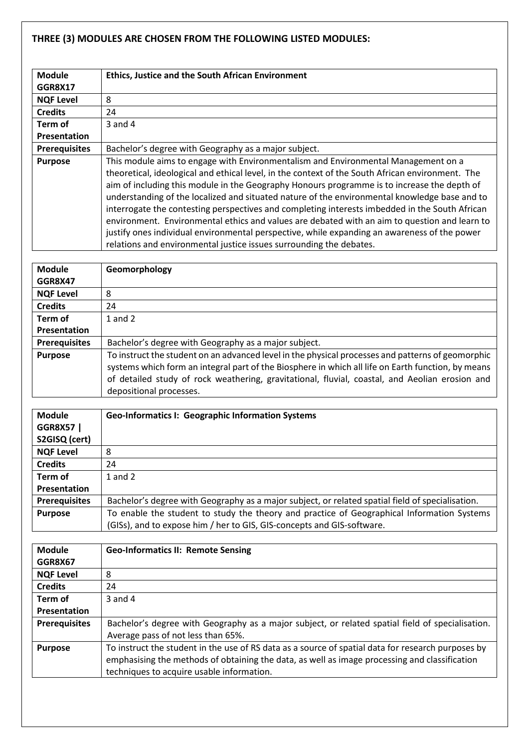## **THREE (3) MODULES ARE CHOSEN FROM THE FOLLOWING LISTED MODULES:**

| Module               | Ethics, Justice and the South African Environment                                                |
|----------------------|--------------------------------------------------------------------------------------------------|
| <b>GGR8X17</b>       |                                                                                                  |
| <b>NQF Level</b>     | 8                                                                                                |
| <b>Credits</b>       | 24                                                                                               |
| Term of              | $3$ and $4$                                                                                      |
| Presentation         |                                                                                                  |
| <b>Prerequisites</b> | Bachelor's degree with Geography as a major subject.                                             |
| <b>Purpose</b>       | This module aims to engage with Environmentalism and Environmental Management on a               |
|                      | theoretical, ideological and ethical level, in the context of the South African environment. The |
|                      | aim of including this module in the Geography Honours programme is to increase the depth of      |
|                      | understanding of the localized and situated nature of the environmental knowledge base and to    |
|                      | interrogate the contesting perspectives and completing interests imbedded in the South African   |
|                      | environment. Environmental ethics and values are debated with an aim to question and learn to    |
|                      | justify ones individual environmental perspective, while expanding an awareness of the power     |
|                      | relations and environmental justice issues surrounding the debates.                              |

| <b>Module</b>        | Geomorphology                                                                                                                                                                                                                                                                                                                        |
|----------------------|--------------------------------------------------------------------------------------------------------------------------------------------------------------------------------------------------------------------------------------------------------------------------------------------------------------------------------------|
| GGR8X47              |                                                                                                                                                                                                                                                                                                                                      |
| <b>NQF Level</b>     | 8                                                                                                                                                                                                                                                                                                                                    |
| <b>Credits</b>       | 24                                                                                                                                                                                                                                                                                                                                   |
| Term of              | 1 and $2$                                                                                                                                                                                                                                                                                                                            |
| Presentation         |                                                                                                                                                                                                                                                                                                                                      |
| <b>Prerequisites</b> | Bachelor's degree with Geography as a major subject.                                                                                                                                                                                                                                                                                 |
| <b>Purpose</b>       | To instruct the student on an advanced level in the physical processes and patterns of geomorphic<br>systems which form an integral part of the Biosphere in which all life on Earth function, by means<br>of detailed study of rock weathering, gravitational, fluvial, coastal, and Aeolian erosion and<br>depositional processes. |

| <b>Module</b>        | Geo-Informatics I: Geographic Information Systems                                                |
|----------------------|--------------------------------------------------------------------------------------------------|
| <b>GGR8X57  </b>     |                                                                                                  |
| S2GISQ (cert)        |                                                                                                  |
| <b>NQF Level</b>     | 8                                                                                                |
| <b>Credits</b>       | 24                                                                                               |
| Term of              | 1 and $2$                                                                                        |
| Presentation         |                                                                                                  |
| <b>Prerequisites</b> | Bachelor's degree with Geography as a major subject, or related spatial field of specialisation. |
| <b>Purpose</b>       | To enable the student to study the theory and practice of Geographical Information Systems       |
|                      | (GISs), and to expose him / her to GIS, GIS-concepts and GIS-software.                           |

| <b>Module</b>        | <b>Geo-Informatics II: Remote Sensing</b>                                                          |  |  |
|----------------------|----------------------------------------------------------------------------------------------------|--|--|
| GGR8X67              |                                                                                                    |  |  |
| <b>NQF Level</b>     | 8                                                                                                  |  |  |
| <b>Credits</b>       | 24                                                                                                 |  |  |
| Term of              | $3$ and $4$                                                                                        |  |  |
| Presentation         |                                                                                                    |  |  |
| <b>Prerequisites</b> | Bachelor's degree with Geography as a major subject, or related spatial field of specialisation.   |  |  |
|                      | Average pass of not less than 65%.                                                                 |  |  |
| <b>Purpose</b>       | To instruct the student in the use of RS data as a source of spatial data for research purposes by |  |  |
|                      | emphasising the methods of obtaining the data, as well as image processing and classification      |  |  |
|                      | techniques to acquire usable information.                                                          |  |  |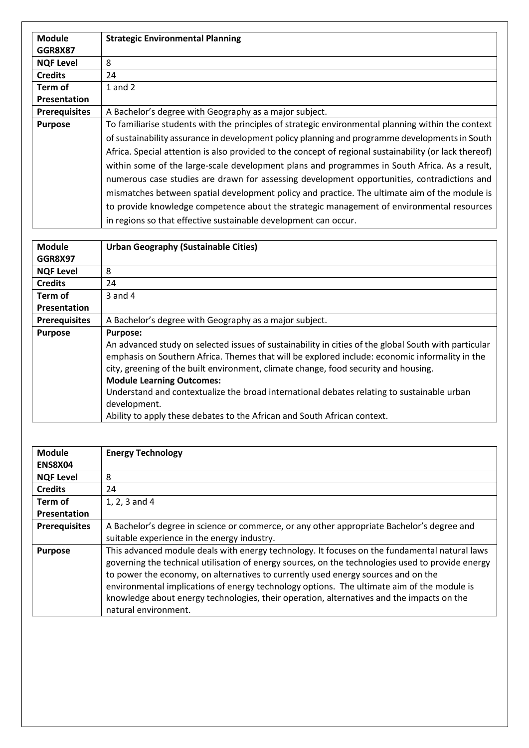| <b>Module</b><br><b>GGR8X87</b> | <b>Strategic Environmental Planning</b>                                                                |  |  |  |
|---------------------------------|--------------------------------------------------------------------------------------------------------|--|--|--|
| <b>NQF Level</b>                | 8                                                                                                      |  |  |  |
| <b>Credits</b>                  | 24                                                                                                     |  |  |  |
| Term of                         | 1 and $2$                                                                                              |  |  |  |
| <b>Presentation</b>             |                                                                                                        |  |  |  |
| <b>Prerequisites</b>            | A Bachelor's degree with Geography as a major subject.                                                 |  |  |  |
| <b>Purpose</b>                  | To familiarise students with the principles of strategic environmental planning within the context     |  |  |  |
|                                 | of sustainability assurance in development policy planning and programme developments in South         |  |  |  |
|                                 | Africa. Special attention is also provided to the concept of regional sustainability (or lack thereof) |  |  |  |
|                                 | within some of the large-scale development plans and programmes in South Africa. As a result,          |  |  |  |
|                                 | numerous case studies are drawn for assessing development opportunities, contradictions and            |  |  |  |
|                                 | mismatches between spatial development policy and practice. The ultimate aim of the module is          |  |  |  |
|                                 | to provide knowledge competence about the strategic management of environmental resources              |  |  |  |
|                                 | in regions so that effective sustainable development can occur.                                        |  |  |  |

| <b>Module</b><br><b>GGR8X97</b> | <b>Urban Geography (Sustainable Cities)</b>                                                                                                                                                                                                                                                                                                                                                                                                        |  |  |  |
|---------------------------------|----------------------------------------------------------------------------------------------------------------------------------------------------------------------------------------------------------------------------------------------------------------------------------------------------------------------------------------------------------------------------------------------------------------------------------------------------|--|--|--|
| <b>NQF Level</b>                | 8                                                                                                                                                                                                                                                                                                                                                                                                                                                  |  |  |  |
| <b>Credits</b>                  | 24                                                                                                                                                                                                                                                                                                                                                                                                                                                 |  |  |  |
| Term of                         | $3$ and $4$                                                                                                                                                                                                                                                                                                                                                                                                                                        |  |  |  |
| Presentation                    |                                                                                                                                                                                                                                                                                                                                                                                                                                                    |  |  |  |
| <b>Prerequisites</b>            | A Bachelor's degree with Geography as a major subject.                                                                                                                                                                                                                                                                                                                                                                                             |  |  |  |
| <b>Purpose</b>                  | <b>Purpose:</b><br>An advanced study on selected issues of sustainability in cities of the global South with particular<br>emphasis on Southern Africa. Themes that will be explored include: economic informality in the<br>city, greening of the built environment, climate change, food security and housing.<br><b>Module Learning Outcomes:</b><br>Understand and contextualize the broad international debates relating to sustainable urban |  |  |  |
|                                 | development.<br>Ability to apply these debates to the African and South African context.                                                                                                                                                                                                                                                                                                                                                           |  |  |  |

| <b>Module</b><br>ENS8X04 | <b>Energy Technology</b>                                                                                                                                                                                                                                                                                                                                                                                                                                                                                   |
|--------------------------|------------------------------------------------------------------------------------------------------------------------------------------------------------------------------------------------------------------------------------------------------------------------------------------------------------------------------------------------------------------------------------------------------------------------------------------------------------------------------------------------------------|
| <b>NQF Level</b>         | 8                                                                                                                                                                                                                                                                                                                                                                                                                                                                                                          |
| <b>Credits</b>           | 24                                                                                                                                                                                                                                                                                                                                                                                                                                                                                                         |
| Term of                  | 1, 2, 3 and 4                                                                                                                                                                                                                                                                                                                                                                                                                                                                                              |
| Presentation             |                                                                                                                                                                                                                                                                                                                                                                                                                                                                                                            |
| <b>Prerequisites</b>     | A Bachelor's degree in science or commerce, or any other appropriate Bachelor's degree and<br>suitable experience in the energy industry.                                                                                                                                                                                                                                                                                                                                                                  |
| <b>Purpose</b>           | This advanced module deals with energy technology. It focuses on the fundamental natural laws<br>governing the technical utilisation of energy sources, on the technologies used to provide energy<br>to power the economy, on alternatives to currently used energy sources and on the<br>environmental implications of energy technology options. The ultimate aim of the module is<br>knowledge about energy technologies, their operation, alternatives and the impacts on the<br>natural environment. |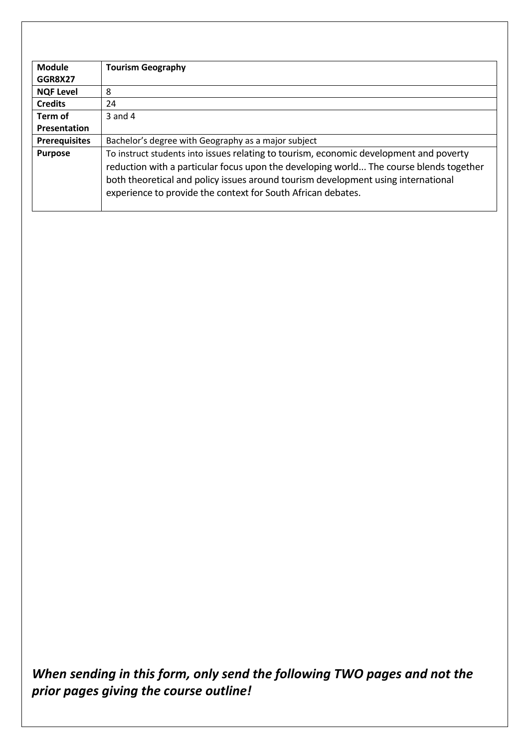| <b>Module</b><br>GGR8X27 | <b>Tourism Geography</b>                                                                                                                                                                                                                                                                                                              |  |  |  |
|--------------------------|---------------------------------------------------------------------------------------------------------------------------------------------------------------------------------------------------------------------------------------------------------------------------------------------------------------------------------------|--|--|--|
|                          |                                                                                                                                                                                                                                                                                                                                       |  |  |  |
| <b>NQF Level</b>         | 8                                                                                                                                                                                                                                                                                                                                     |  |  |  |
| <b>Credits</b>           | 24                                                                                                                                                                                                                                                                                                                                    |  |  |  |
| Term of                  | $3$ and $4$                                                                                                                                                                                                                                                                                                                           |  |  |  |
| Presentation             |                                                                                                                                                                                                                                                                                                                                       |  |  |  |
| <b>Prerequisites</b>     | Bachelor's degree with Geography as a major subject                                                                                                                                                                                                                                                                                   |  |  |  |
| <b>Purpose</b>           | To instruct students into issues relating to tourism, economic development and poverty<br>reduction with a particular focus upon the developing world The course blends together<br>both theoretical and policy issues around tourism development using international<br>experience to provide the context for South African debates. |  |  |  |

*When sending in this form, only send the following TWO pages and not the prior pages giving the course outline!*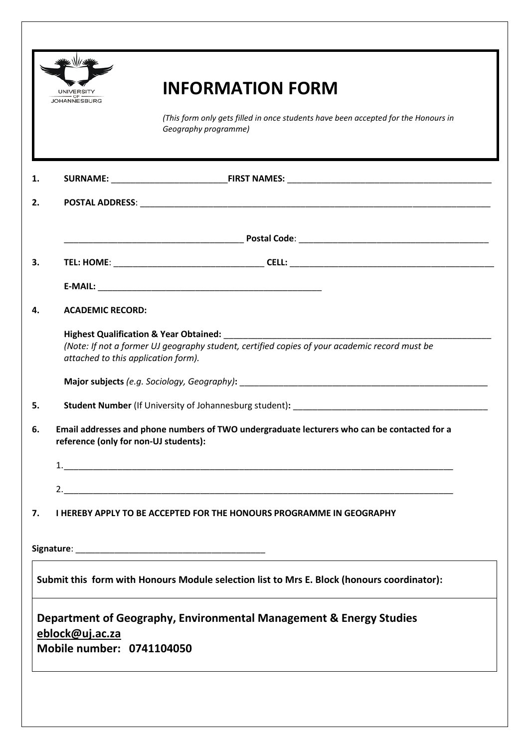|    | <b>UNIVERSITY</b>                                                                                                                                                                                                                             | <b>INFORMATION FORM</b>                                                                                    |  |  |
|----|-----------------------------------------------------------------------------------------------------------------------------------------------------------------------------------------------------------------------------------------------|------------------------------------------------------------------------------------------------------------|--|--|
|    | JOHANNESBURG                                                                                                                                                                                                                                  |                                                                                                            |  |  |
|    |                                                                                                                                                                                                                                               | (This form only gets filled in once students have been accepted for the Honours in<br>Geography programme) |  |  |
| 1. |                                                                                                                                                                                                                                               |                                                                                                            |  |  |
| 2. |                                                                                                                                                                                                                                               |                                                                                                            |  |  |
|    |                                                                                                                                                                                                                                               |                                                                                                            |  |  |
| 3. |                                                                                                                                                                                                                                               |                                                                                                            |  |  |
|    |                                                                                                                                                                                                                                               |                                                                                                            |  |  |
| 4. | <b>ACADEMIC RECORD:</b>                                                                                                                                                                                                                       |                                                                                                            |  |  |
|    | Highest Qualification & Year Obtained: Material Analysis Analysis Analysis Analysis Analysis Analysis<br>(Note: If not a former UJ geography student, certified copies of your academic record must be<br>attached to this application form). |                                                                                                            |  |  |
|    |                                                                                                                                                                                                                                               |                                                                                                            |  |  |
| 5. |                                                                                                                                                                                                                                               |                                                                                                            |  |  |
| 6. | reference (only for non-UJ students):                                                                                                                                                                                                         | Email addresses and phone numbers of TWO undergraduate lecturers who can be contacted for a                |  |  |
|    |                                                                                                                                                                                                                                               |                                                                                                            |  |  |
|    |                                                                                                                                                                                                                                               |                                                                                                            |  |  |
| 7. |                                                                                                                                                                                                                                               | <b>I HEREBY APPLY TO BE ACCEPTED FOR THE HONOURS PROGRAMME IN GEOGRAPHY</b>                                |  |  |
|    |                                                                                                                                                                                                                                               |                                                                                                            |  |  |
|    |                                                                                                                                                                                                                                               |                                                                                                            |  |  |
|    |                                                                                                                                                                                                                                               | Submit this form with Honours Module selection list to Mrs E. Block (honours coordinator):                 |  |  |
|    | eblock@uj.ac.za<br><b>Mobile number: 0741104050</b>                                                                                                                                                                                           | Department of Geography, Environmental Management & Energy Studies                                         |  |  |